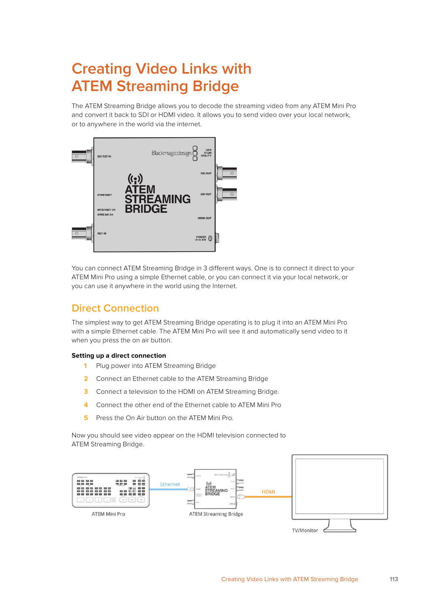# **Creating Video Links with ATEM Streaming Bridge**

The ATEM Streaming Bridge allows you to decode the streaming video from any ATEM Mini Pro and convert it back to SDI or HDMI video. It allows you to send video over your local network, or to anywhere in the world via the internet.



You can connect ATEM Streaming Bridge in 3 different ways. One is to connect it direct to your ATEM Mini Pro using a simple Ethernet cable, or you can connect it via your local network, or you can use it anywhere in the world using the Internet.

# **Direct Connection**

The simplest way to get ATEM Streaming Bridge operating is to plug it into an ATEM Mini Pro with a simple Ethernet cable. The ATEM Mini Pro will see it and automatically send video to it when you press the on air button.

#### **Setting up a direct connection**

- **1** Plug power into ATEM Streaming Bridge
- **2** Connect an Ethernet cable to the ATEM Streaming Bridge
- **3** Connect a television to the HDMI on ATEM Streaming Bridge.
- **4** Connect the other end of the Ethernet cable to ATEM Mini Pro
- **5** Press the On Air button on the ATEM Mini Pro.

Now you should see video appear on the HDMI television connected to ATEM Streaming Bridge.

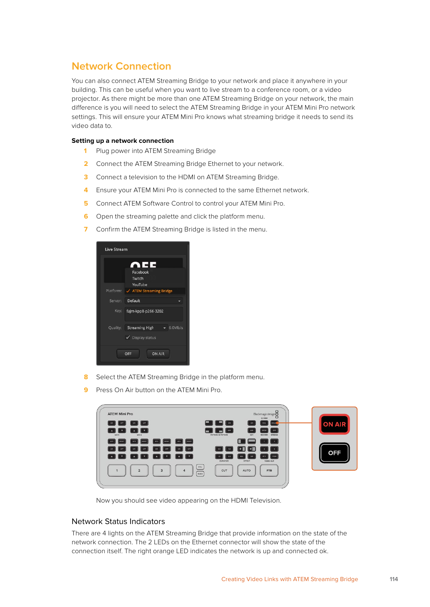## **Network Connection**

You can also connect ATEM Streaming Bridge to your network and place it anywhere in your building. This can be useful when you want to live stream to a conference room, or a video projector. As there might be more than one ATEM Streaming Bridge on your network, the main difference is you will need to select the ATEM Streaming Bridge in your ATEM Mini Pro network settings. This will ensure your ATEM Mini Pro knows what streaming bridge it needs to send its video data to.

#### **Setting up a network connection**

- **1** Plug power into ATEM Streaming Bridge
- **2** Connect the ATEM Streaming Bridge Ethernet to your network.
- **3** Connect a television to the HDMI on ATEM Streaming Bridge.
- **4** Ensure your ATEM Mini Pro is connected to the same Ethernet network.
- **5** Connect ATEM Software Control to control your ATEM Mini Pro.
- **6** Open the streaming palette and click the platform menu.
- **7** Confirm the ATEM Streaming Bridge is listed in the menu.

| <b>Live Stream</b> |                                                                  |
|--------------------|------------------------------------------------------------------|
|                    | NEE –<br>Facebook<br>Twitch<br>YouTube                           |
|                    | Platform: / ATEM Streaming Bridge                                |
|                    | Server: Default                                                  |
|                    | Key: fajm-kpp8-p266-3202                                         |
|                    | Quality: Streaming High v 6.0Mb/s<br>$\checkmark$ Display status |
|                    | <b>ON AIR</b><br>OFF                                             |

- **8** Select the ATEM Streaming Bridge in the platform menu.
- **9** Press On Air button on the ATEM Mini Pro.

| <b>ATEM Mini Pro</b>                                |                                      |                                              | Blackmagicdesign                                           |               |
|-----------------------------------------------------|--------------------------------------|----------------------------------------------|------------------------------------------------------------|---------------|
| $\begin{bmatrix} 0 & 1 \end{bmatrix}$<br>or 1<br>on |                                      | $\blacksquare$ $\blacksquare$ $\blacksquare$ | O DISK<br>ONA<br>REC                                       | <b>ON AIR</b> |
| $\mathbf{r}$<br>$\Delta$<br>MIC 2<br>MIC1           |                                      | PICTURE IN PICTURE                           | <b>STOP</b><br>OF<br><b>STREAM</b><br><b>KEY</b><br>RECORD |               |
| RESET                                               | RESIT<br>$\frac{1}{2}$<br>APV<br>AFV |                                              |                                                            |               |
| OFF.<br>ON<br>ore.                                  | orr<br>ON<br>OFF.<br>ON<br>00000000  | 10                                           | $\sim$ 11<br>PGM<br><b>M/V</b>                             | <b>OFF</b>    |
|                                                     |                                      | <b>DURATION</b><br><b>STAL</b>               | EFFECT<br>VIDEO OUT                                        |               |
| $\overline{z}$                                      | $\overline{3}$                       | CUT<br>BLACK                                 | <b>FTB</b><br><b>AUTO</b>                                  |               |
|                                                     |                                      |                                              |                                                            |               |

Now you should see video appearing on the HDMI Television.

### Network Status Indicators

There are 4 lights on the ATEM Streaming Bridge that provide information on the state of the network connection. The 2 LEDs on the Ethernet connector will show the state of the connection itself. The right orange LED indicates the network is up and connected ok.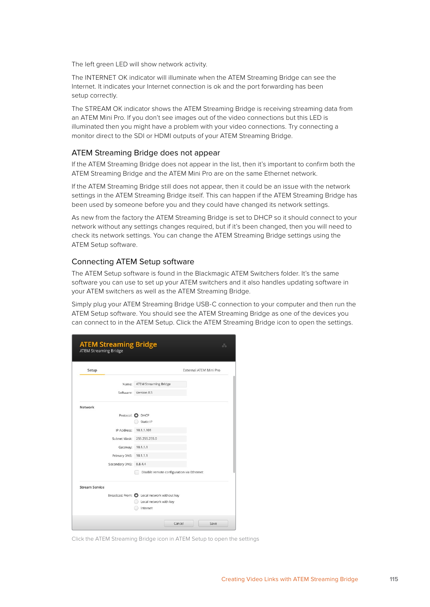The left green LED will show network activity.

The INTERNET OK indicator will illuminate when the ATEM Streaming Bridge can see the Internet. It indicates your Internet connection is ok and the port forwarding has been setup correctly.

The STREAM OK indicator shows the ATEM Streaming Bridge is receiving streaming data from an ATEM Mini Pro. If you don't see images out of the video connections but this LED is illuminated then you might have a problem with your video connections. Try connecting a monitor direct to the SDI or HDMI outputs of your ATEM Streaming Bridge.

#### ATEM Streaming Bridge does not appear

If the ATEM Streaming Bridge does not appear in the list, then it's important to confirm both the ATEM Streaming Bridge and the ATEM Mini Pro are on the same Ethernet network.

If the ATEM Streaming Bridge still does not appear, then it could be an issue with the network settings in the ATEM Streaming Bridge itself. This can happen if the ATEM Streaming Bridge has been used by someone before you and they could have changed its network settings.

As new from the factory the ATEM Streaming Bridge is set to DHCP so it should connect to your network without any settings changes required, but if it's been changed, then you will need to check its network settings. You can change the ATEM Streaming Bridge settings using the ATEM Setup software.

#### Connecting ATEM Setup software

The ATEM Setup software is found in the Blackmagic ATEM Switchers folder. It's the same software you can use to set up your ATEM switchers and it also handles updating software in your ATEM switchers as well as the ATEM Streaming Bridge.

Simply plug your ATEM Streaming Bridge USB-C connection to your computer and then run the ATEM Setup software. You should see the ATEM Streaming Bridge as one of the devices you can connect to in the ATEM Setup. Click the ATEM Streaming Bridge icon to open the settings.

| Setup                 |              |                                             | External ATEM Mini Pro |
|-----------------------|--------------|---------------------------------------------|------------------------|
|                       | Name:        | <b>ATEM Streaming Bridge</b>                |                        |
|                       | Software:    | Version 8.5                                 |                        |
| Network               |              |                                             |                        |
|                       |              | Protocol: O DHCP                            |                        |
|                       |              | Static IP                                   |                        |
|                       | IP Address:  | 10.1.1.101                                  |                        |
|                       | Subnet Mask: | 255.255.255.0                               |                        |
|                       | Gateway:     | 10.1.1.1                                    |                        |
|                       | Primary DNS: | 10.1.1.1                                    |                        |
| Secondary DNS:        |              | 8.8.4.4                                     |                        |
|                       |              | Disable remote configuration via Ethernet   |                        |
| <b>Stream Service</b> |              |                                             |                        |
|                       |              | Broadcast From: O Local network without key |                        |
|                       |              | Local network with key                      |                        |

Click the ATEM Streaming Bridge icon in ATEM Setup to open the settings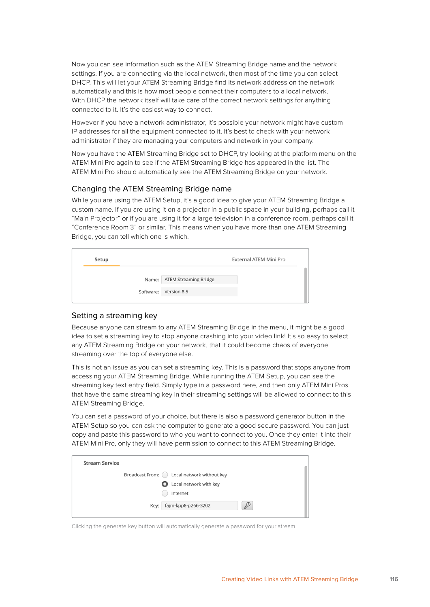Now you can see information such as the ATEM Streaming Bridge name and the network settings. If you are connecting via the local network, then most of the time you can select DHCP. This will let your ATEM Streaming Bridge find its network address on the network automatically and this is how most people connect their computers to a local network. With DHCP the network itself will take care of the correct network settings for anything connected to it. It's the easiest way to connect.

However if you have a network administrator, it's possible your network might have custom IP addresses for all the equipment connected to it. It's best to check with your network administrator if they are managing your computers and network in your company.

Now you have the ATEM Streaming Bridge set to DHCP, try looking at the platform menu on the ATEM Mini Pro again to see if the ATEM Streaming Bridge has appeared in the list. The ATEM Mini Pro should automatically see the ATEM Streaming Bridge on your network.

#### Changing the ATEM Streaming Bridge name

While you are using the ATEM Setup, it's a good idea to give your ATEM Streaming Bridge a custom name. If you are using it on a projector in a public space in your building, perhaps call it "Main Projector" or if you are using it for a large television in a conference room, perhaps call it "Conference Room 3" or similar. This means when you have more than one ATEM Streaming Bridge, you can tell which one is which.

| Setup |                             | External ATEM Mini Pro |
|-------|-----------------------------|------------------------|
|       | Name: ATEM Streaming Bridge |                        |
|       | Software: Version 8.5       |                        |

### Setting a streaming key

Because anyone can stream to any ATEM Streaming Bridge in the menu, it might be a good idea to set a streaming key to stop anyone crashing into your video link! It's so easy to select any ATEM Streaming Bridge on your network, that it could become chaos of everyone streaming over the top of everyone else.

This is not an issue as you can set a streaming key. This is a password that stops anyone from accessing your ATEM Streaming Bridge. While running the ATEM Setup, you can see the streaming key text entry field. Simply type in a password here, and then only ATEM Mini Pros that have the same streaming key in their streaming settings will be allowed to connect to this ATEM Streaming Bridge.

You can set a password of your choice, but there is also a password generator button in the ATEM Setup so you can ask the computer to generate a good secure password. You can just copy and paste this password to who you want to connect to you. Once they enter it into their ATEM Mini Pro, only they will have permission to connect to this ATEM Streaming Bridge.

| <b>Stream Service</b> |                                               |  |
|-----------------------|-----------------------------------------------|--|
|                       | Broadcast From: ( ) Local network without key |  |
|                       | <b>O</b> Local network with key               |  |
|                       | Internet                                      |  |
|                       | ₽<br>fajm-kpp8-p266-3202<br>Key:              |  |
|                       |                                               |  |

Clicking the generate key button will automatically generate a password for your stream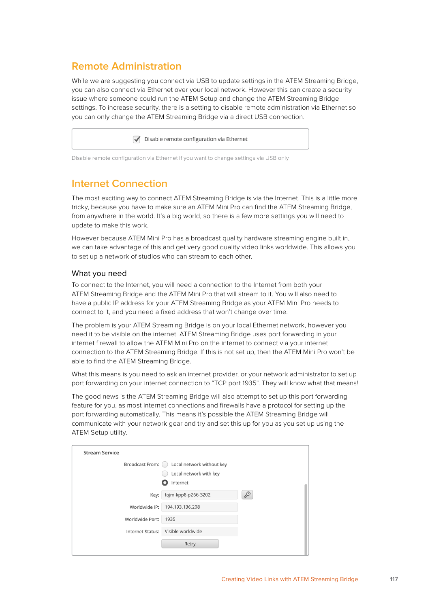# **Remote Administration**

While we are suggesting you connect via USB to update settings in the ATEM Streaming Bridge, you can also connect via Ethernet over your local network. However this can create a security issue where someone could run the ATEM Setup and change the ATEM Streaming Bridge settings. To increase security, there is a setting to disable remote administration via Ethernet so you can only change the ATEM Streaming Bridge via a direct USB connection.

Disable remote configuration via Ethernet

Disable remote configuration via Ethernet if you want to change settings via USB only

## **Internet Connection**

The most exciting way to connect ATEM Streaming Bridge is via the Internet. This is a little more tricky, because you have to make sure an ATEM Mini Pro can find the ATEM Streaming Bridge, from anywhere in the world. It's a big world, so there is a few more settings you will need to update to make this work.

However because ATEM Mini Pro has a broadcast quality hardware streaming engine built in, we can take advantage of this and get very good quality video links worldwide. This allows you to set up a network of studios who can stream to each other.

### What you need

To connect to the Internet, you will need a connection to the Internet from both your ATEM Streaming Bridge and the ATEM Mini Pro that will stream to it. You will also need to have a public IP address for your ATEM Streaming Bridge as your ATEM Mini Pro needs to connect to it, and you need a fixed address that won't change over time.

The problem is your ATEM Streaming Bridge is on your local Ethernet network, however you need it to be visible on the internet. ATEM Streaming Bridge uses port forwarding in your internet firewall to allow the ATEM Mini Pro on the internet to connect via your internet connection to the ATEM Streaming Bridge. If this is not set up, then the ATEM Mini Pro won't be able to find the ATEM Streaming Bridge.

What this means is you need to ask an internet provider, or your network administrator to set up port forwarding on your internet connection to "TCP port 1935". They will know what that means!

The good news is the ATEM Streaming Bridge will also attempt to set up this port forwarding feature for you, as most internet connections and firewalls have a protocol for setting up the port forwarding automatically. This means it's possible the ATEM Streaming Bridge will communicate with your network gear and try and set this up for you as you set up using the ATEM Setup utility.

| <b>Stream Service</b> |                                    |   |
|-----------------------|------------------------------------|---|
| Broadcast From: (     | Local network without key          |   |
|                       | Local network with key             |   |
|                       | Internet                           |   |
| Key:                  | fajm-kpp8-p266-3202                | P |
| Worldwide IP:         | 194.193.136.208                    |   |
| Worldwide Port:       | 1935                               |   |
|                       | Internet Status: Visible worldwide |   |
|                       | Retry                              |   |
|                       |                                    |   |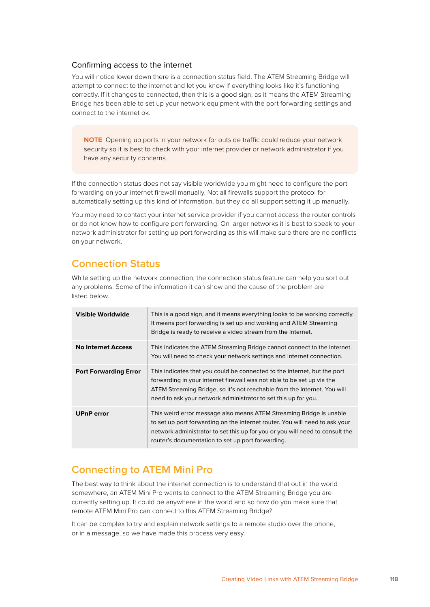### Confirming access to the internet

You will notice lower down there is a connection status field. The ATEM Streaming Bridge will attempt to connect to the internet and let you know if everything looks like it's functioning correctly. If it changes to connected, then this is a good sign, as it means the ATEM Streaming Bridge has been able to set up your network equipment with the port forwarding settings and connect to the internet ok.

**NOTE** Opening up ports in your network for outside traffic could reduce your network security so it is best to check with your internet provider or network administrator if you have any security concerns.

If the connection status does not say visible worldwide you might need to configure the port forwarding on your internet firewall manually. Not all firewalls support the protocol for automatically setting up this kind of information, but they do all support setting it up manually.

You may need to contact your internet service provider if you cannot access the router controls or do not know how to configure port forwarding. On larger networks it is best to speak to your network administrator for setting up port forwarding as this will make sure there are no conflicts on your network.

### **Connection Status**

While setting up the network connection, the connection status feature can help you sort out any problems. Some of the information it can show and the cause of the problem are listed below.

| Visible Worldwide            | This is a good sign, and it means everything looks to be working correctly.<br>It means port forwarding is set up and working and ATEM Streaming<br>Bridge is ready to receive a video stream from the Internet.                                                                                 |
|------------------------------|--------------------------------------------------------------------------------------------------------------------------------------------------------------------------------------------------------------------------------------------------------------------------------------------------|
| <b>No Internet Access</b>    | This indicates the ATEM Streaming Bridge cannot connect to the internet.<br>You will need to check your network settings and internet connection.                                                                                                                                                |
| <b>Port Forwarding Error</b> | This indicates that you could be connected to the internet, but the port<br>forwarding in your internet firewall was not able to be set up via the<br>ATEM Streaming Bridge, so it's not reachable from the internet. You will<br>need to ask your network administrator to set this up for you. |
| <b>UPnP</b> error            | This weird error message also means ATEM Streaming Bridge is unable<br>to set up port forwarding on the internet router. You will need to ask your<br>network administrator to set this up for you or you will need to consult the<br>router's documentation to set up port forwarding.          |

### **Connecting to ATEM Mini Pro**

The best way to think about the internet connection is to understand that out in the world somewhere, an ATEM Mini Pro wants to connect to the ATEM Streaming Bridge you are currently setting up. It could be anywhere in the world and so how do you make sure that remote ATEM Mini Pro can connect to this ATEM Streaming Bridge?

It can be complex to try and explain network settings to a remote studio over the phone, or in a message, so we have made this process very easy.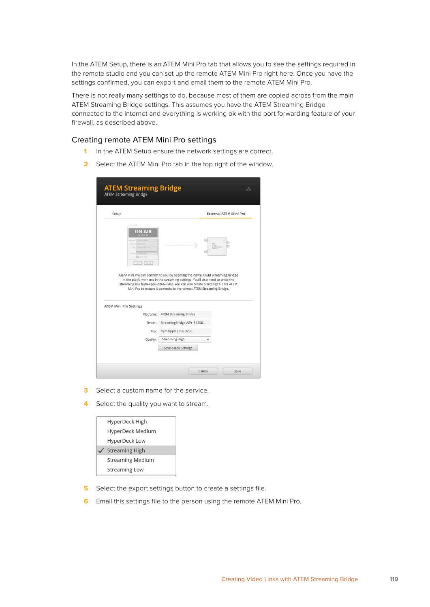In the ATEM Setup, there is an ATEM Mini Pro tab that allows you to see the settings required in the remote studio and you can set up the remote ATEM Mini Pro right here. Once you have the settings confirmed, you can export and email them to the remote ATEM Mini Pro.

There is not really many settings to do, because most of them are copied across from the main ATEM Streaming Bridge settings. This assumes you have the ATEM Streaming Bridge connected to the internet and everything is working ok with the port forwarding feature of your firewall, as described above.

### Creating remote ATEM Mini Pro settings

- **1** In the ATEM Setup ensure the network settings are correct.
- **2** Select the ATEM Mini Pro tab in the top right of the window.

| Setup                                                                 | <b>External ATEM Mini Pro</b>                                                                                                                                                                                                                                                                                            |  |
|-----------------------------------------------------------------------|--------------------------------------------------------------------------------------------------------------------------------------------------------------------------------------------------------------------------------------------------------------------------------------------------------------------------|--|
| Live Mosaic<br><b>ON AIR</b><br>12.62316.318<br>shull light 26ch 15ml |                                                                                                                                                                                                                                                                                                                          |  |
| <b>ON AIR</b><br><b>COL</b>                                           |                                                                                                                                                                                                                                                                                                                          |  |
|                                                                       | ATEM Mini Pro can connect to you by selecting the name ATEM Streaming Bridge<br>in the platform menu in the streaming settings. You'll also need to enter the<br>streaming key fajm-kpp8-p266-3202. You can also create a settings file for ATEM<br>Mini Pro to ensure it connects to the correct ATEM Streaming Bridge. |  |
|                                                                       |                                                                                                                                                                                                                                                                                                                          |  |
| Platform:                                                             | <b>ATEM Streaming Bridge</b>                                                                                                                                                                                                                                                                                             |  |
| Server:                                                               | StreamingBridge-AE9181308                                                                                                                                                                                                                                                                                                |  |
| <b>ATEM Mini Pro Settings</b><br>Key:<br>Quality:                     | fajm-kpp8-p266-3202<br>Streaming High                                                                                                                                                                                                                                                                                    |  |

- **3** Select a custom name for the service.
- **4** Select the quality you want to stream.

| HyperDeck High          |
|-------------------------|
| HyperDeck Medium        |
| <b>HyperDeck Low</b>    |
| <b>Streaming High</b>   |
| <b>Streaming Medium</b> |
| <b>Streaming Low</b>    |
|                         |

- **5** Select the export settings button to create a settings file.
- **6** Email this settings file to the person using the remote ATEM Mini Pro.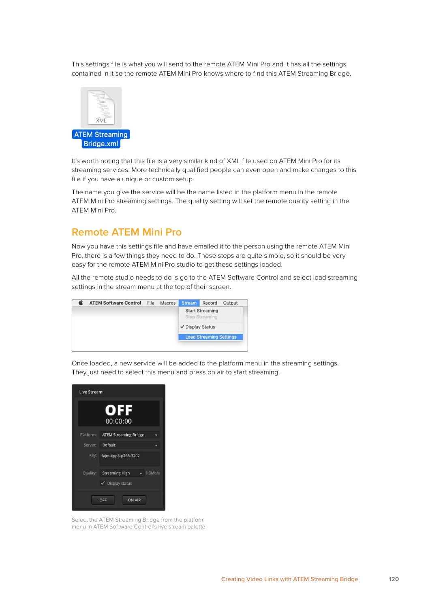This settings file is what you will send to the remote ATEM Mini Pro and it has all the settings contained in it so the remote ATEM Mini Pro knows where to find this ATEM Streaming Bridge.



It's worth noting that this file is a very similar kind of XML file used on ATEM Mini Pro for its streaming services. More technically qualified people can even open and make changes to this file if you have a unique or custom setup.

The name you give the service will be the name listed in the platform menu in the remote ATEM Mini Pro streaming settings. The quality setting will set the remote quality setting in the ATEM Mini Pro.

### **Remote ATEM Mini Pro**

Now you have this settings file and have emailed it to the person using the remote ATEM Mini Pro, there is a few things they need to do. These steps are quite simple, so it should be very easy for the remote ATEM Mini Pro studio to get these settings loaded.

All the remote studio needs to do is go to the ATEM Software Control and select load streaming settings in the stream menu at the top of their screen.



Once loaded, a new service will be added to the platform menu in the streaming settings. They just need to select this menu and press on air to start streaming.



Select the ATEM Streaming Bridge from the platform menu in ATEM Software Control's live stream palette